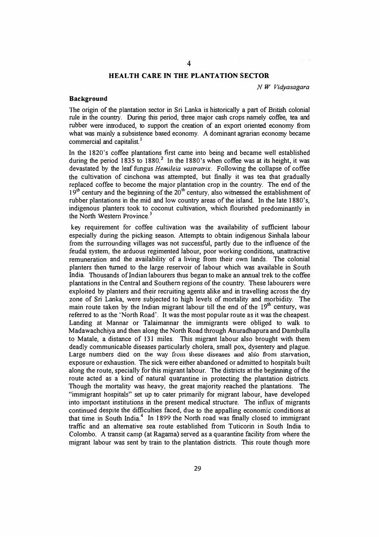# **HEALTH CARE IN THE PLANTATION SECTOR**

*N W Vidyasagara* 

#### **Background**

The origin of the plantation sector in Sri Lanka is historically a part of British colonial rule in the countty. During this period, three major cash crops namely coffee, tea and rubber were introduced, to support the creation of an export oriented economy from what was mainly a subsistence based economy. A dominant agrarian economy became commercial and capitalist.<sup>1</sup>

In the 1820's coffee plantations first came into being and became well established during the period 1835 to 1880.<sup>2</sup> In the 1880's when coffee was at its height, it was devastated by the leaf fungus *Hemileia vastratrix.* Following the collapse of coffee the cultivation of cinchona was attempted, but finally it was tea that gradually replaced coffee to become the major plantation crop in the country. The end of the  $19<sup>th</sup>$  century and the beginning of the 20<sup>th</sup> century, also witnessed the establishment of rubber plantations in the mid and low country areas of the island. In the late l 880's, indigenous planters took to coconut cultivation, which flourished predominantly in the North Western Province.<sup>3</sup>

key requirement for coffee cultivation was the availability of sufficient labour especially during the picking season. Attempts to obtain indigenous Sinhala labour from the surrounding villages was not successful, partly due to the influence of the feudal system, the arduous regimented labour, poor working conditions, unattractive remuneration and the availability of a living from their own lands. The colonial planters then turned to the large reservoir of labour which was available in South India. Thousands of Indian labourers thus began to make an annual trek to the coffee plantations **in** the Central and Southern regions of the country. These labourers were exploited by planters and their recruiting agents alike and in travelling across the dry zone of Sri Lanka, were subjected to high levels of mortality and morbidity. The main route taken by the Indian migrant labour till the end of the  $19<sup>th</sup>$  century, was referred to as the 'North Road'. It was the most popular route as it was the cheapest. Landing at Mannar or Talaimannar the immigrants were obliged to walk to Madawachchiya and then along the North Road through Anuradhapura and Dambulla to Matale, a distance of 13 l miles. This migrant labour also brought with them deadly communicable diseases particularly cholera, small pox, dysentery and plague. Large numbers died on the way from these diseases and also from starvation, exposure or exhaustion. The sick were either abandoned or admitted to hospitals built along the route, specially for this migrant labour. The districts at the beginning of the route acted as a kind of natural quarantine in protecting the plantation districts. Though the mortality was heavy, the great majority reached the plantations. The "immigrant hospitals" set up to cater primarily for migrant labour, have developed into important institutions in the present medical structure. The influx of migrants continued despite the difficulties faced, due to the appalling economic conditions at that time in South India.<sup>4</sup> In 1899 the North road was finally closed to immigrant traffic and an alternative sea route established from Tuticorin in South India to Colombo. A transit camp (at Ragama) served as a quarantine facility from where the migrant labour was sent by train to the plantation districts. This route though more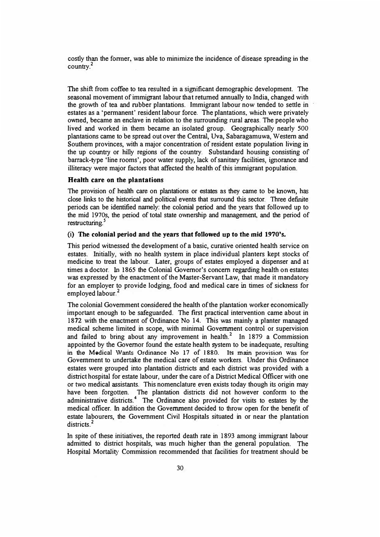costly than the fonner, was able to minimize the incidence of disease spreading in the country.<sup>2</sup>

The shift from coffee to tea resulted in a significant demographic development. The seasonal movement of immigrant labour that returned annually to India, changed with the growth of tea and rubber plantations. Immigrant labour now tended to settle in estates as a 'permanent' resident labour force. The plantations, which were privately owned, became an enclave in relation to the surrounding rural areas. The people who lived and worked in them became an isolated group. Geographically nearly 500 plantations came to be spread out over the Central, Uva, Sabaragamuwa, Western and Southern provinces, with a major concentration of resident estate population living in the up country or hilly regions of the country. Substandard housing consisting of barrack-type 'line rooms', poor water supply, lack of sanitary facilities, ignorance and illiteracy were major factors that affected the health of this immigrant population.

## **Health care on the plantations**

The provision of health care on plantations or estates as they came to be known, has close links to the historical and political events that surround this sector. Three definite periods can be identified namely: the colonial period and the years that followed up to the mid 1970s, the period of total state ownership and management, and the period of restructuring. *<sup>5</sup>*

# (i) **The colonial period and the years that followed up to the mid 1970's.**

This period witnessed the development of a basic, curative oriented health service on estates. Initially, with no health system in place individual planters kept stocks of medicine to treat the labour. Later, groups of estates employed a dispenser and at times a doctor. In 1865 the Colonial Governor's concern regarding health on estates was expressed by the enactment of the Master-Servant Law, that made it mandatory for an employer to provide lodging, food and medical care in times of sickness for employed labour.<sup>2</sup>

The colonial Government considered the health of the plantation worker economically important enough to be safeguarded. The first practical intervention came about in 1872 with the enactment of Ordinance No 14. This was mainly a planter managed medical scheme limited in scope, with minimal Government control or supervision and failed to bring about any improvement in health.<sup>2</sup> In 1879 a Commission appointed by the Governor found the estate health system to be inadequate, resulting in the Medical Wants Ordinance No 17 of 1880. **Its main** provision was **for** Government to undertake the medical care of estate workers. Under this Ordinance estates were grouped into plantation districts and each district was provided with a district hospital for estate labour, under the care of a District Medical Officer with one or two medical assistants. This nomenclature even exists today though its origin may have been forgotten. The plantation districts did not however conform to the administrative districts.<sup>4</sup> The Ordinance also provided for visits to estates by the medical officer. In addition the Government decided to throw open for the benefit of estate labourers, the Government Civil Hospitals situated in or near the plantation districts.<sup>2</sup>

In spite of these initiatives, the reported death rate in 1893 among immigrant labour admitted to district hospitals, was much higher than the general population. The Hospital Mortality Commission recommended that facilities for treatment should be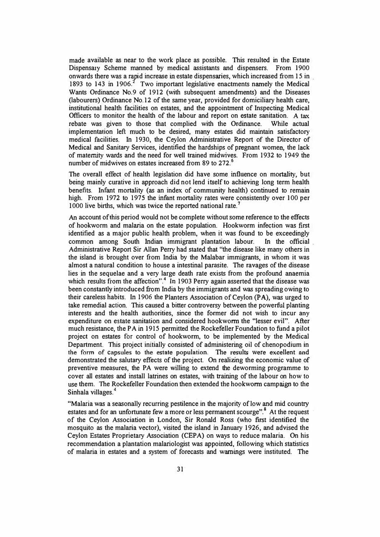made available as near to the work place as possible. This resulted in the Estate Dispensary Scheme manned by medical assistants and dispensers. From 1900 onwards there was a rapid increase in estate dispensaries, which increased from 15 in 1893 to 143 in 1906.<sup>2</sup> Two important legislative enactments namely the Medical Wants Ordinance No.9 of 1912 (with subsequent amendments) and the Diseases (labourers) Ordinance No.12 of the same year, provided for domiciliary health care, institutional health facilities on estates, and the appointment of Inspecting Medical Officers to monitor the health of the labour and report on estate sanitation. A tax rebate was given to those that complied with the Ordinance. While actual implementation left much to be desired, many estates did maintain satisfactory medical facilities. In 1930, the Ceylon Administrative Report of the Director of Medical and Sanitary Services, identified the hardships of pregnant women, the lack of maternity wards and the need for well trained midwives. From 1932 to 1949 the number of midwives on estates increased from 89 to 272. **<sup>6</sup>**

The overall effect of health legislation did have some influence on mortality, but being mainly curative in approach did not lend itself to achieving long term health benefits. Infant mortality (as an index of community health) continued to remain high. From 1972 to 1975 the infant mortality rates were consistently over 100 per 1000 live births, which was twice the reported national rate.

An account of this period would not be complete without some reference to the effects of hookworm and malaria on the estate population. Hookworm infection was first identified as a major public health problem, when it was found to be exceedingly common among South Indian immigrant plantation labour. In the official . Administrative Report Sir Allan Perry had stated that "the disease like many others **in** the island is brought over from India by the Malabar immigrants, in whom it was almost a natural condition to house a intestinal parasite. The ravages of the disease lies in the sequelae and a very large death rate exists from the profound anaemia which results from the affection".<sup>4</sup> In 1903 Perry again asserted that the disease was been constantly introduced from India by the immigrants and was spreading owing to their careless habits. In 1906 the Planters Association of Ceylon **(PA),** was urged to take remedial action. This caused a bitter controversy between the powerful planting interests and the health authorities, since the former did not wish to incur any expenditure on estate sanitation and considered hookworm the "lesser evil". After much resistance, the PA in 1915 permitted the Rockefeller Foundation to fund a pilot project on estates for control of hookworm, to be implemented by the Medical Department. This project initially consisted of administering oil of chenopodium in the form of capsules to the estate population. The results were excellent and demonstrated the salutary effects of the project. On realizing the economic value of preventive measures, the PA were willing to extend the deworming programme to cover all estates and install latrines on estates, with training of the labour on how to use them. The Rockefeller Foundation then extended the hook-worm campaign to the Sinhala villages.<sup>4</sup>

"Malaria was a seasonally recurring pestilence in the majority of low and mid country estates and for an unfortunate few a more or less permanent scourge".<sup>8</sup> At the request of the Ceylon Association in London, Sir Ronald Ross (who first identified the mosquito as the malaria vector), visited the island in January 1926, and advised the Ceylon Estates Proprietary Association (CEP A) on ways to reduce malaria. On his recommendation a plantation malariologist was appointed, following which statistics of malaria in estates and a system of forecasts and warnings were instituted. The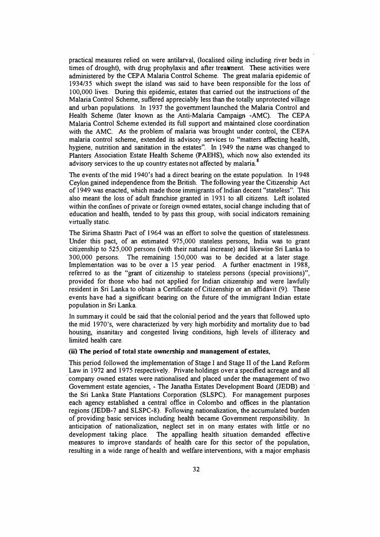practical measures relied on were antilarval, (localised oiling including river beds in times of drought), with drug prophylaxis and after treatment. These activities were administered by the CEP A Malaria Control Scheme. The great malaria epidemic of 1934/35 which swept the island was said to have been responsible for the loss of 100,000 lives. During this epidemic, estates that carried out the instructions of the Malaria Control Scheme, suffered appreciably less than the totally unprotected village and urban populations. In 1937 the government launched the Malaria Control and Health Scheme (later known as the Anti-Malaria Campaign -AMC). The CEPA Malaria Control Scheme extended its full support and maintained close coordination with the AMC. As the problem of malaria was brought under control, the CEPA malaria control scheme, extended its advisory services to "matters affecting health, hygiene, nutrition and sanitation in the estates". In 1949 the name was changed to Planters Association Estate Health Scheme **(P AEHS},** which now also extended its advisory services to the up country estates not affected by malaria.<sup>8</sup>

The events of the mid 1940's had a direct bearing on the estate population. In 1948 Ceylon gained independence from the British. The following year the Citizenship Act of 1949 was enacted, which made those immigrants of Indian decent "stateless". This also meant the loss of adult franchise granted in 1931 to all citizens. Left isolated within the confines of private or foreign owned estates, social change including that of education and health, tended to by pass this group, with social indicators remaining virtually static.

The Sirima Shastri Pact of 1964 was an effort to solve the question of statelessness. Under this pact, of an estimated 975,000 stateless persons, India was to grant citizenship to 525,000 persons (with their natural increase) and likewise Sri Lanka to 300,000 persons. The remaining 150,000 was to be decided at a later stage. Implementation was to be over a 15 year period. A further enactment in 1988, referred to as the "grant of citizenship to stateless persons (special provisions)", provided for those who had not applied for Indian citizenship and were lawfully resident in Sri Lanka to obtain a Certificate of Citizenship or an affidavit (9). These events have had a significant bearing on the future of the immigrant Indian estate population in Sri Lanka.

In summary it could be said that the colonial period and the years that followed upto the mid 1970's, were characterized by very high morbidity and mortality due to bad housing, insanitary and congested living conditions, high levels of illiteracy and limited health care.

#### **(ii) The period of total state ownership and management of estates,**

This period followed the implementation of Stage I and Stage II of the Land Reform Law in 1972 and 1975 respectively. Private holdings over a specified acreage and all company owned estates were nationalised and placed under the management of two Government estate agencies, - The Janatha Estates Development Board (JEDB) and the Sri Lanka State Plantations Corporation (SLSPC). For management purposes each agency established a central office in Colombo and offices in the plantation regions (JEDB-7 and SLSPC-8). Fo!Jowing nationalization, the accumulated burden of providing basic services including health became Government responsibility. In anticipation of nationalization, neglect set in on many estates with little or no development taking place. The appalling health situation demanded effective measures to improve standards of health care for this sector of the population, resulting in a wide range of health and welfare interventions, with a major emphasis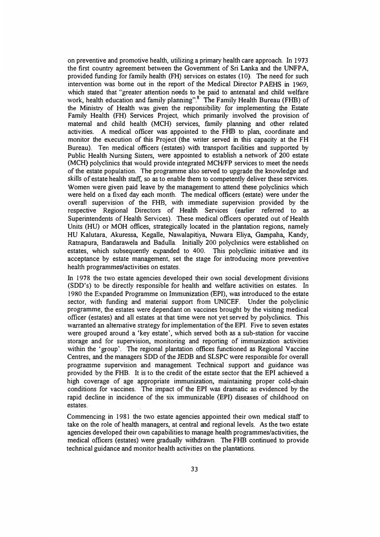on preventive and promotive health, utilizing a primary health care approach. In 1973 the first country agreement between the Government of Sri Lanka and the UNFPA, provided funding for family health (FH) services on estates (10). The need for such intervention was borne out in the report of the Medical Director P AEHS in 1969, which stated that "greater attention needs to be paid to antenatal and child welfare work, health education and family planning".<sup>8</sup> The Family Health Bureau (FHB) of the Ministry of Health was given the responsibility for implementing the Estate Family Health (FH) Services Project, which primarily involved the provision of maternal and child health (MCH) services, family planning and other related activities. A medical officer was appointed to the FHB to plan, coordinate and monitor the execution of this Project (the writer served in this capacity at the FH Bureau). Ten medical officers (estates) with transport facilities and supported by Public Health Nursing Sisters, were appointed to establish a network of 200 estate (MCH) polyclinics that would provide integrated MCH/FP services to meet the needs of the estate population. The programme also served to upgrade the knowledge and skills of estate health staff, so as to enable them to competently deliver these services. Women were given paid leave by the management to attend these polyclinics which were held on a fixed day each month. The medical officers (estate) were under the overall supervision of the FHB, with immediate supervision provided by the respective Regional Directors of Health Services (earlier referred to as Superintendents of Health Services). These medical officers operated out of Health Units (HU) or MOH offices, strategically located in the plantation regions, namely HU Kalutara, Akuressa, Kegalle, Nawalapitiya, Nuwara Eliya, Gampaha, Kandy, Ratnapura, Bandarawela and Badulla. Initially 200 polyclinics were established on estates, which subsequently expanded to 400. This polyclinic initiative and its acceptance by estate management, set the stage for introducing more preventive health programmes/activities on estates.

In 1978 the two estate agencies developed their own social development divisions (SDD's) to be directly responsible for health and welfare activities on estates. In 1980 the Expanded Programme on Immunization (BPI), was introduced to the estate sector, with funding and material support from UNICEF. Under the polyclinic programme, the estates were dependant on vaccines brought by the visiting medical officer (estates) and all estates at that time were not yet served by polyclinics. **This**  warranted an alternative strategy for implementation of the **EPI.** Five to seven estates were grouped around a 'key estate', which served both as a sub-station for vaccine storage and for supervision, monitoring and reporting of immunization activities within the 'group'. The regional plantation offices functioned as Regional Vaccine Centres, and the managers SDD of the JEDB and SLSPC were responsible for overall programme supervision and management. Technical support and guidance was provided by the FHB. It is to the credit of the estate sector that the EPI achieved a high coverage of age appropriate immunization, maintaining proper cold-chain conditions for vaccines. The impact of the EPI was dramatic as evidenced by the rapid decline in incidence of the six immunizable *(EPI)* diseases of childhood on estates.

Commencing in 1981 the two estate agencies appointed their own medical staff to take on the role of health managers, at central and regional levels. As the two estate agencies developed their own capabilities to manage health programmes/activities, the medical officers (estates) were gradually withdrawn. The FHB continued to provide technical guidance and monitor health activities on the plantations.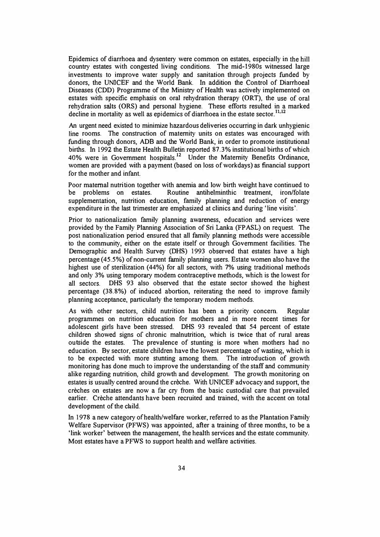Epidemics of diarrhoea and dysentery were common on estates, especially in the hill country estates with congested living conditions. The mid-1980s witnessed large investments to improve water supply and sanitation through projects funded by donors, the UNICEF and the World Bank. In addition the Control of Diarrhoeal Diseases (CDD) Programme of the Ministry of Health was actively implemented on estates with specific emphasis on oral rehydration therapy (ORT), the use of oral rehydration salts (ORS) and personal hygiene. These efforts resulted in a marked decline in mortality as well as epidemics of diarrhoea in the estate sector.<sup>11,12</sup>

An urgent need existed to minimize hazardous deliveries occurring in dark unhygienic line rooms. The construction of maternity units on estates was encouraged with funding through donors, ADB and the World Bank, in order to promote institutional births. In 1992 the Estate Health Bulletin reported 87. 3% institutional births of which 40% were in Government hospitals.<sup>12</sup> Under the Maternity Benefits Ordinance, women are provided with a payment (based on loss of workdays) as financial support for the mother and infant.

Poor maternal nutrition together with anemia and low birth weight have continued to be problems on estates. Routine antihelminthic treatment, iron/folate supplementation, nutrition education, family planning and reduction of energy expenditure in the last trimester are emphasized at clinics and during 'line visits'.

Prior to nationalization family planning awareness, education and services were provided by the Family Planning Association of Sri Lanka (FP ASL) on request. The post nationalization period ensured that all family planning methods were accessible to the community, either on the estate itself or through Government facilities. The Demographic and Health Survey (OHS) 1993 observed that estates have a high percentage (45.5%) of non-current family planning users. Estate women also have the highest use of sterilization (44%) for all sectors, with 7% using traditional methods and only 3% using temporary modem contraceptive methods, which is the lowest for all sectors. DHS 93 also observed that the estate sector showed the highest percentage (38.8%) of induced abortion, reiterating the need to improve family planning acceptance, particularly the temporary modem methods.

As with other sectors, child nutrition has been a priority concern. Regular programmes on nutrition education for mothers and in more recent times for adolescent girls have been stressed. DHS 93 revealed that 54 percent of estate children showed signs of chronic malnutrition, which is twice that of rural areas outside the estates. The prevalence of stunting is more when mothers had no education. By sector, estate children have the lowest percentage of wasting, which is to be expected with more stunting among them. The introduction of growth monitoring has done much to improve the understanding of the staff and community alike regarding nutrition, child growth and development. The growth monitoring on estates is usually centred around the creche. With UNICEF advocacy and support, the creches on estates are now a far cry from the basic custodial care that prevailed earlier. Crèche attendants have been recruited and trained, with the accent on total development of the child.

In 1978 a new category of health/welfare worker, referred to as the Plantation Family Welfare Supervisor (PFWS) was appointed, after a training of three months, to be a 'link worker' between the management, the health services and the estate community. Most estates have a PFWS to support health and welfare activities.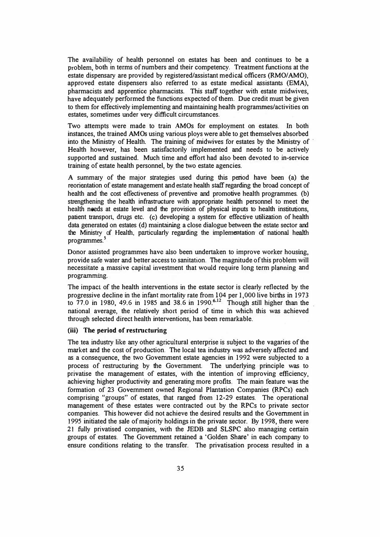The availability of health personnel on estates has been and continues to be a problem, both in terms of numbers and their competency. Treatment functions at the estate dispensary are provided by registered/assistant medical officers (RMO/AMO), approved estate dispensers also referred to as estate medical assistants (EMA), pharmacists and apprentice pharmacists. This staff together with estate midwives, have adequately performed the functions expected of them. Due credit must be given to them for effectively implementing and maintaining health programmes/activities on estates, sometimes under very difficult circumstances.

Two attempts were made to train AMOs for employment on estates. In both instances, the trained AMOs using various ploys were able to get themselves absorbed into the Ministry of Health. The training of midwives for estates by the Ministry of Health however, has been satisfactorily implemented and needs to be actively supported and sustained. Much time and effort had also been devoted to in-service training of estate health personnel, by the two estate agencies.

A summary of the major strategies used during this period have been (a) the reorientation of estate management and estate health staff regarding the broad concept of health and the cost effectiveness of preventive and promotive health programmes. (b) strengthening the health infrastructure with appropriate health personnel to meet the health needs at estate level and the provision of physical inputs to health institutions, patient transport, drugs etc. (c) developing a system for effective utilization of health data generated on estates (d) maintaining a close dialogue between the estate sector and the Ministry of Health, particularly regarding the implementation of national health programmes.<sup>5</sup>

Donor assisted programmes have also been undertaken to improve worker housing, provide safe water and better access to sanitation. The magnitude of this problem will necessitate a massive capital investment that would require long term planning and programming.

The impact of the health interventions in the estate sector is clearly reflected by the progressive decline in the infant mortality rate from 104 per 1,000 live births in 1973 to 77.0 in 1980, 49.6 in 1985 and 38.6 in 1990.**<sup>6</sup> • <sup>12</sup>**Though still higher than the national average, the relatively short period of time in which this was achieved through selected direct health interventions, has been remarkable.

## **(iii) The period of restructuring**

The tea industry like any other agricultural enterprise is subject to the vagaries of the market and the cost of production. The local tea industry was adversely affected and as a consequence, the two Government estate agencies in 1992 were subjected to a process of restructuring by the Government. The underlying principle was to privatise the management of estates, with the intention of improving efficiency, achieving higher productivity and generating more profits. The main feature was the formation of 23 Government owned Regional Plantation Companies (RPCs) each comprising "groups" of estates, that ranged from 12-29 estates. The operational management of these estates were contracted out by the RPCs to private sector companies. This however did not achieve the desired results and the Government **in**  1995 initiated the sale of majority holdings in the private sector. By 1998, there were 21 fully privatised companies, with the JEDB and SLSPC also managing certain groups of estates. The Government retained a 'Golden Share' in each company to ensure conditions relating to the transfer. The privatisation process resulted in a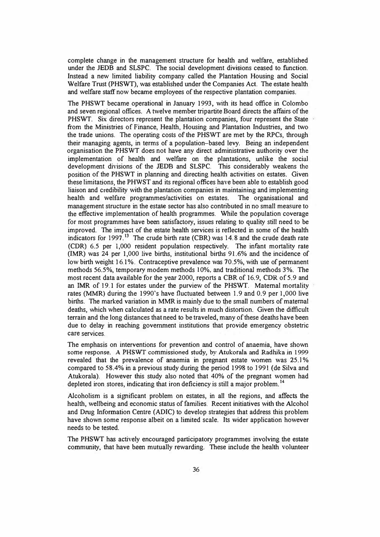complete change in the management structure for health and welfare, established under the JEDB and SLSPC. The social development divisions ceased to function. Instead a new limited liability company called the Plantation Housing and Social Welfare Trust (PHSWT), was established under the Companies Act. The estate health and welfare staff now became employees of the respective plantation companies.

The PHSWT became operational in January 1993, with its head office in Colombo and seven regional offices. A twelve member tripartite Board directs the affairs of the PHSWT. Six directors represent the plantation companies, four represent the State from the Ministries of Finance, Health, Housing and Plantation Industries, and two the trade unions. The operating costs of the PHSWT are met by the RPCs, through their managing agents, in terms of a population-based levy. Being an independent organisation the PHSWT does not have any direct administrative authority over the implementation of health and welfare on the plantations, unlike the social development divisions of the JEDB and SLSPC. This considerably weakens the position of the PHSWT in planning and directing health activities on estates. Given these limitations, the PHWST and its regional offices have been able to establish good liaison and credibility with the plantation companies in maintaining and implementing health and welfare programmes/activities on estates. The organisational and management structure in the estate sector has also contributed in no small measure to the effective implementation of health programmes. While the population coverage for most programmes have been satisfactory, issues relating to quality still need to be improved. The impact of the estate health services is reflected in some of the health indicators for 1997.<sup>13</sup> The crude birth rate (CBR) was 14.8 and the crude death rate (CDR) 6.5 per 1,000 resident population respectively. The infant mortality rate (IMR) was 24 per 1,000 live births, institutional births 91.6% and the incidence of low birth weight 16.1%. Contraceptive prevalence was 70.5%, with use of permanent methods 56.5%, temporary modem methods I 0%, and traditional methods 3%. The most recent data available for the year 2000, reports a CBR of 16.9, CDR of 5.9 and an IMR of 19.1 for estates under the purview of the PHSWT. Maternal mortality rates **(MMR)** during the 1990's have fluctuated between 1.9 and 0.9 per 1,000 live births. The marked variation in MMR is mainly due to the small numbers of maternal deaths, which when calculated as a rate results in much distortion. Given the difficult terrain and the long distances that need to be traveled, many of these deaths have been due to delay in reaching government institutions that provide emergency obstetric care services.

The emphasis on interventions for prevention and control of anaemia, have shown some response. **A** PHSWT commissioned study, by Atukorala and Radhika in **1999** revealed that the prevalence of anaemia in pregnant estate women was 25.1% compared to 58.4% in a previous study during the period 1998 to 1991 (de Silva and Atukorala). However this study also noted that 40% of the pregnant women had depleted iron stores, indicating that iron deficiency is still a major problem.<sup>14</sup>

Alcoholism is a significant problem on estates, in all the regions, and affects the health, wellbeing and economic status of families. Recent initiatives with the Alcohol and Drug Information Centre (ADIC) to develop strategies that address this problem have shown some response albeit on a limited scale. Its wider application however needs to be tested.

The PHSWT has actively encouraged participatory programmes involving the estate community, that have been mutually rewarding. These include the health volunteer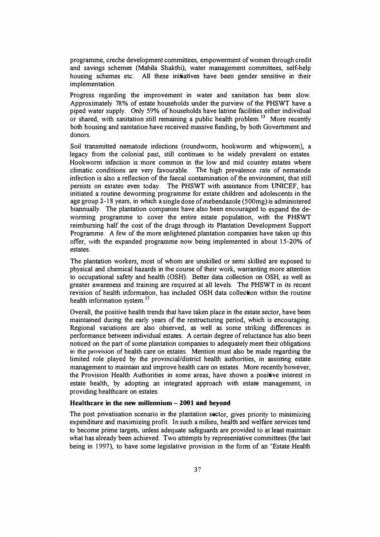programme, creche development committees, empowerment of women through credit and savings schemes (Mahila Shakthi), water management committees, self-help housing schemes etc. All these initiatives have been gender sensitive in their implementation.

Progress regarding the improvement in water and sanitation has been slow. Approximately 78% of estate households under the purview of the PHSWT have a piped water supply. Only 59% of households have latrine facilities either individual or shared, with sanitation still remaining a public health problem.<sup>13</sup> More recently both housing and sanitation have received massive funding, by both Government and donors.

Soil transmitted nematode infections (roundworm, hookworm and whipworm), a legacy from the colonial past, still continues to be widely prevalent on estates. Hookworm infection is more common in the low and mid country estates where climatic conditions are very favourable. The high prevalence rate of nematode infection is also a reflection of the faecal contamination of the environment, that still persists on estates even today. The PHSWT with assistance from UNICEF, has initiated a routine deworming programme for estate children and adolescents in the age group 2-18 years, in which a single dose of mebendazole (500mg) is administered biannually. The plantation companies have also been encouraged to expand the deworming programme to cover the entire estate population, with the **PHSWT** reimbursing half the cost of the drugs through its Plantation Development Support Programme. A few of the more enlightened plantation companies have taken up this offer, with the expanded programme now being implemented in about 15-20% of estates

The plantation workers, most of whom are unskilled or semi skilled are exposed to physical and chemical hazards in the course of their work, warranting more attention to occupational safety and health (OSH). Better data collection on OSH, as well as greater awareness and training are required at all levels. The PHSWT in its recent revision of health information, has included OSH data collection within the routine health information system. **<sup>15</sup>**

Overall, the positive health trends that have taken place in the estate sector, have been maintained during the early years of the restructuring period, which is encouraging. Regional variations are also observed, as well as some striking differences in performance between individual estates. A certain degree of reluctance has also been noticed on the part of some plantation companies to adequately meet their obligations in the provision of health care on estates. Mention must also be made regarding the limited role played by the provincial/district health authorities, in assisting estate management to maintain and improve health care on estates. More recently however, the Provision Health Authorities in some areas, have shown a positive interest in estate health, by adopting an integrated approach with estate management, in providing healthcare on estates.

# **Healthcare in the new millennium - 2001 and beyond**

The post privatisation scenario in the plantation sector, gives priority to minimizing expenditure and maximizing profit. In such a milieu, health and welfare services tend to become prime targets, unless adequate safeguards are provided to at least maintain what has already been achieved. Two attempts by representative committees (the last being in 1997), to have some legislative provision in the form of an 'Estate Health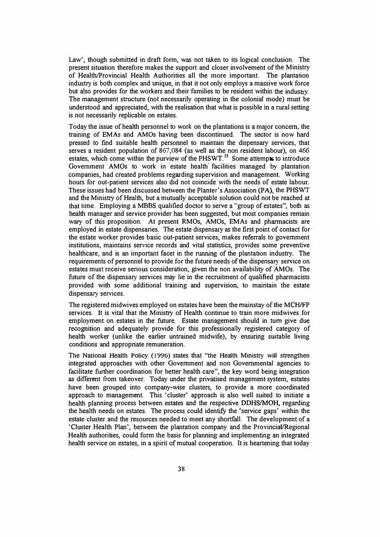Law', though submitted in draft form, was not taken to its logical conclusion. The present situation therefore makes the support and closer involvement of the Ministry of Health/Provincial Health Authorities all the more important. The plantation industry is both complex and unique, in that it not only employs a massive work force but also provides for the workers and their families to be resident within the industry. The management structure (not necessarily operating in the colonial mode) must be understood and appreciated, with the realisation that what is possible in a rural setting is not necessarily replicable on estates.

Today the issue of health personnel to work on the plantations is a major concern, the training of EMAs and AMOs having been discontinued. The sector is now hard pressed to find suitable health personnel to maintain the dispensary services, that serves a resident population of 867,084 (as well as the non resident labour), on 466 estates, which come within the purview of the PHSWT.<sup>13</sup> Some attempts to introduce Government AMOs to work in estate health. facilities managed by plantation companies, had created problems regarding supervision and management. Working hours for out-patient services also did not coincide with the needs of estate labour. These issues had been discussed between the Planter's Association **(PA),** the **PHSWT**  and the Ministry of Health, but a mutually acceptable solution could not be reached at that time. Employing a MBBS qualified doctor to serve a "group of estates", both as health manager and service provider has been suggested, but most companies remain wary of this proposition. At present RMOs, AMOs, EMAs and pharmacists are employed in estate dispensaries. The estate dispensary as the first point of contact for the estate worker provides basic out-patient services, makes referrals to government institutions, maintains service records and vital statistics, provides some preventive healthcare, and is an important facet in the running of the plantation industry. The requirements of personnel to provide for the future needs of the dispensary service on estates must receive serious consideration, given the non availability of AMOs. The future of the dispensary services may lie in the recruitment of qualified pharmacists provided with some additional training and supervision, to maintain the estate dispensary services.

The registered midwives employed on estates have been the mainstay of the MCH/FP services. It is vital that the Ministry of Health continue to train more midwives for employment on estates in the future. Estate management should in tum give due recognition and adequately provide for this professionally registered category of health worker (unlike the earlier untrained midwife), by ensuring suitable living conditions and appropriate remuneration.

The National Health Policy (1996) states that "the Health Ministry will strengthen integrated approaches with other Government and non Governmental agencies to facilitate further coordination for better health care", the key word being integration as different from takeover. Today under the privatised management system, estates have been grouped into company-wise clusters, to provide a more coordinated approach to management. This 'cluster' approach is also well suited to initiate a health planning process between estates and the respective **DDHS/MOH,** regarding the health needs on estates. The process could identify the 'service gaps' within the estate cluster and the resources needed to meet any shortfall. The development of a 'Cluster Health Plan', between the plantation company and the Provincial/Regional Health authorities, could form the basis for planning and implementing an integrated health service on estates, in a spirit of mutual cooperation. It is heartening that today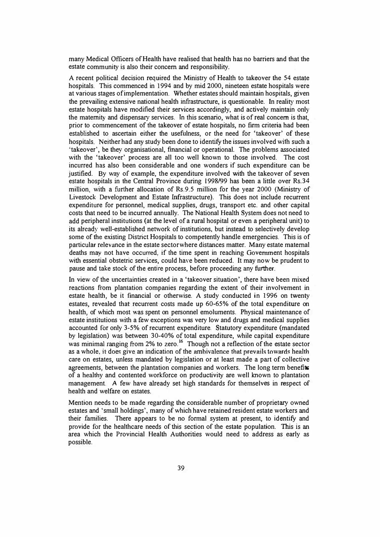many Medical Officers of Health have realised that health has no barriers and that the estate community is also their concern and responsibility.

A recent political decision required the Ministry of Health to takeover the 54 estate hospitals. This commenced in 1994 and by mid 2000, nineteen estate hospitals were at various stages of implementation. Whether estates should maintain hospitals, given the prevailing extensive national health infrastructure, is questionable. In reality most estate hospitals have modified their services accordingly, and actively maintain only the maternity and dispensary services. In this scenario, what is of real concern is that, prior to commencement of the takeover of estate hospitals, no firm criteria had been established to ascertain either the usefulness, or the need for 'takeover' of these hospitals. Neither had any study been done to identify the issues involved with such a 'takeover', be they organisational, financial or operational. The problems associated with the 'takeover' process are all too well known to those involved. The cost incurred has also been considerable and one wonders if such expenditure can be justified. By way of example, the expenditure involved with the takeover of seven estate hospitals in the Central Province during 1998/99 has been a little over Rs.34 million, with a further allocation of Rs.9.5 million for the year 2000 (Ministry of Livestock Development and Estate Infrastructure). This does not include recurrent expenditure for personnel, medical supplies, drugs, transport etc. and other capital costs that need to be incurred annually. The National Health System does not need to add peripheral institutions (at the level of a rural hospital or even a peripheral unit) to its already well-established network of institutions, but instead to selectively develop some of the existing District Hospitals to competently handle emergencies. This is of particular relevance in the estate sector where distances matter. Many estate maternal deaths may not have occurred, if the time spent in reaching Government hospitals with essential obstetric services, could have been reduced. It may now be prudent to pause and take stock of the entire process, before proceeding any further.

In view of the uncertainties created in a 'takeover situation', there have been mixed reactions from plantation companies regarding the extent of their involvement in estate health, be it financial or otherwise. A study conducted in 1996 on twenty estates, revealed that recurrent costs made up 60-65% of the total expenditure on health, of which most was spent on personnel emoluments. Physical maintenance of estate institutions with a few exceptions was very low and drugs and medical supplies accounted for only 3-5% of recurrent expenditure. Statutory expenditure (mandated by legislation) was between 30-40% of total expenditure, while capital expenditure was minimal ranging from 2% to zero.<sup>16</sup> Though not a reflection of the estate sector as a whole, it does give an indication of the ambivalence that prevails towards health care on estates, unless mandated by legislation or at least made a part of collective agreements, between the plantation companies and workers. The long term benefits of a healthy and contented workforce on productivity are well known to plantation management. A few have already set high standards for themselves in respect of health and welfare on estates.

Mention needs to be made regarding the considerable number of proprietary owned estates and 'small holdings', many of which have retained resident estate workers and their families. There appears to be no formal system at present, to identify and provide for the healthcare needs of this section of the estate population. This is an area which the Provincial Health Authorities would need to address as early as possible.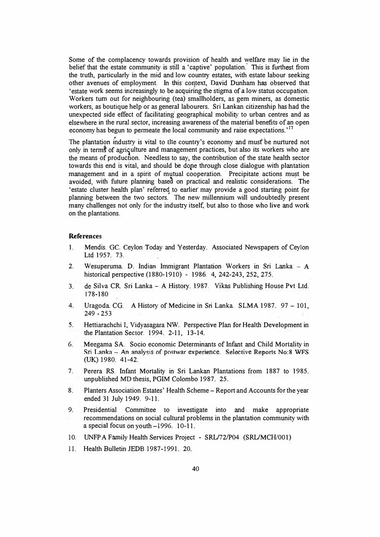Some of the complacency towards provision of health and welfare may lie in the belief that the estate community is still a 'captive' population. This is furthest from the truth, particularly in the mid and low country estates, with estate labour seeking other avenues of employment. In this context, David Dunham has observed that 'estate work seems increasingly to be acquiring the stigma of a low status occupation. Workers tum out for neighbouring (tea) smallholders, as gem miners, as domestic workers, as boutique help or as general labourers. Sri Lankan citizenship has bad the unexpected side effect of facilitating geographical mobility to urban centres and as elsewhere in the rural sector, increasing awareness of the material benefits of an open economy has begun to permeate the local community and raise expectations.<sup>17</sup><br>The plantation industry is vital to the country's economy and must be purture

The plantation industry is vital to tlie country's economy and must be nurtured not only in terms of agriculture and management practices, but also its workers who are the means of production. Needless to say, the contribution of the state health sector towards this end is vital, and should be dope through close dialogue with plantation management and in a spirit of mutual cooperation. · Precipitate actions must be avoided, with future planning based on practical and realistic considerations. The 'estate cluster health plan' referred to earlier may provide a good starting point for planning between the two sectors. The new millennium will undoubtedly present many challenges not only for the industry itself, but also to those who live and work on the plantations.

## **References**

- 1. Mendis. GC. Ceylon Today and Yesterday. Associated Newspapers of Ceylon Ltd 1957. 73.
- 2. Wesuperuma. D. Indian Immigrant Plantation Workers in Sri Lanka A historical perspective (1880-1910) - 1986. 4, 242-243, 252, 275.
- 3. de Silva CR. Sri Lanka A History. 1987. Vikas Publishing House Pvt Ltd. [78-180
- 4. Uragoda. CG. A History of Medicine in Sri Lanka. SLMA 1987. 97 101, 249 - 253
- *5.* Hettiarachchi I, Vidyasagara NW. Perspective Plan for Health Development in the Plantation Sector. 1994. 2-11, 13-14.
- 6. Meegama SA. Socio economic Determinants of Infant and Child Mortality in Sri Lanka - An analysis of postwar experience. Selective Reports No:8 WFS (UK) 1980. 41-42.
- 7. Perera RS. Infant Mortality in Sri Lankan Plantations from 1887 to 1985. unpublished **MD** thesis, **PGIM** Colombo 1987. 25.
- 8. Planters Association Estates' Health Scheme Report and Accounts for the year ended 31 July 1949. 9-11.
- 9. Presidential Committee to investigate into and make appropriate recommendations on social cultural problems in the plantation community with a special focus on youth-1996. 10-11.
- 10. UNFP A Family Health Services Project SRU72/P04 (SRUMCH/001)
- 11. Health Bulletin JEDB 1987-1991. 20.